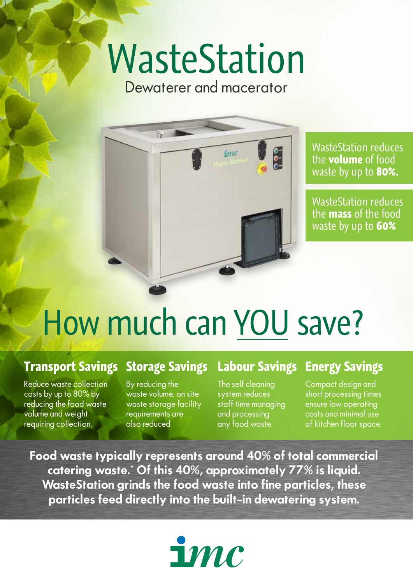# WasteStation

Dewaterer and macerator



WasteStation reduces the **volume** of food waste by up to **80%.**

WasteStation reduces the **mass** of the food waste by up to **60%**

## How much can YOU save?

#### **Transport Savings**

Reduce waste collection costs by up to 80% by reducing the food waste volume and weight requiring collection.

#### **Storage Savings**

By reducing the waste volume, on site waste storage facility requirements are also reduced.

### **Labour Savings**

The self cleaning system reduces staff time managing and processing any food waste.

**Energy Savings**

Compact design and short processing times ensure low operating costs and minimal use of kitchen floor space.

**Food waste typically represents around 40% of total commercial catering waste.\* Of this 40%, approximately 77% is liquid. WasteStation grinds the food waste into fine particles, these particles feed directly into the built-in dewatering system.**